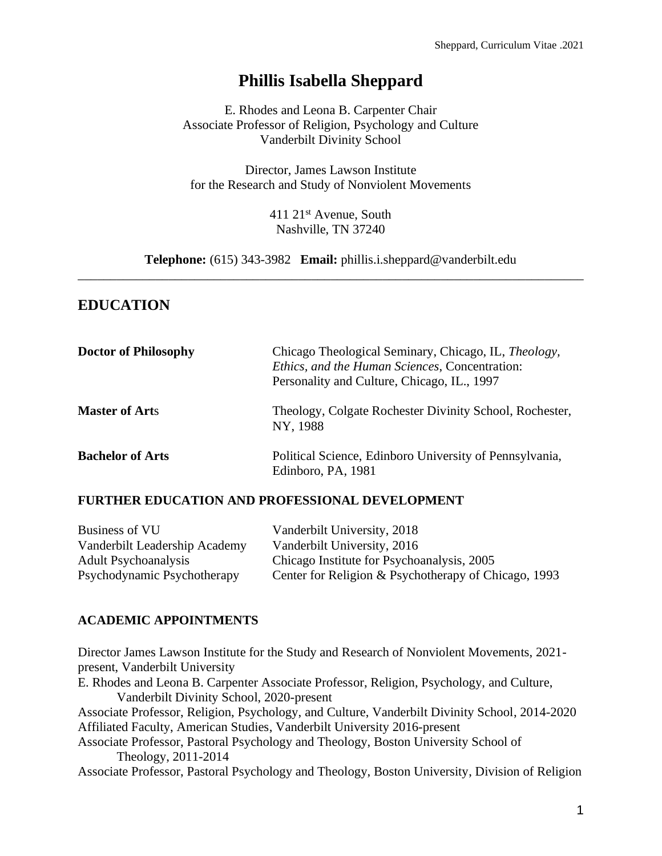# **Phillis Isabella Sheppard**

E. Rhodes and Leona B. Carpenter Chair Associate Professor of Religion, Psychology and Culture Vanderbilt Divinity School

Director, James Lawson Institute for the Research and Study of Nonviolent Movements

> 411 21st Avenue, South Nashville, TN 37240

**Telephone:** (615) 343-3982 **Email:** phillis.i.sheppard@vanderbilt.edu \_\_\_\_\_\_\_\_\_\_\_\_\_\_\_\_\_\_\_\_\_\_\_\_\_\_\_\_\_\_\_\_\_\_\_\_\_\_\_\_\_\_\_\_\_\_\_\_\_\_\_\_\_\_\_\_\_\_\_\_\_\_\_\_\_\_\_\_\_\_\_\_\_\_\_\_\_\_

# **EDUCATION**

| <b>Doctor of Philosophy</b> | Chicago Theological Seminary, Chicago, IL, <i>Theology</i> ,<br>Ethics, and the Human Sciences, Concentration:<br>Personality and Culture, Chicago, IL., 1997 |
|-----------------------------|---------------------------------------------------------------------------------------------------------------------------------------------------------------|
| <b>Master of Arts</b>       | Theology, Colgate Rochester Divinity School, Rochester,<br>NY, 1988                                                                                           |
| <b>Bachelor of Arts</b>     | Political Science, Edinboro University of Pennsylvania,<br>Edinboro, PA, 1981                                                                                 |

### **FURTHER EDUCATION AND PROFESSIONAL DEVELOPMENT**

| Business of VU                | Vanderbilt University, 2018                          |
|-------------------------------|------------------------------------------------------|
| Vanderbilt Leadership Academy | Vanderbilt University, 2016                          |
| <b>Adult Psychoanalysis</b>   | Chicago Institute for Psychoanalysis, 2005           |
| Psychodynamic Psychotherapy   | Center for Religion & Psychotherapy of Chicago, 1993 |

### **ACADEMIC APPOINTMENTS**

Director James Lawson Institute for the Study and Research of Nonviolent Movements, 2021 present, Vanderbilt University E. Rhodes and Leona B. Carpenter Associate Professor, Religion, Psychology, and Culture, Vanderbilt Divinity School, 2020-present Associate Professor, Religion, Psychology, and Culture, Vanderbilt Divinity School, 2014-2020 Affiliated Faculty, American Studies, Vanderbilt University 2016-present Associate Professor, Pastoral Psychology and Theology, Boston University School of Theology, 2011-2014 Associate Professor, Pastoral Psychology and Theology, Boston University, Division of Religion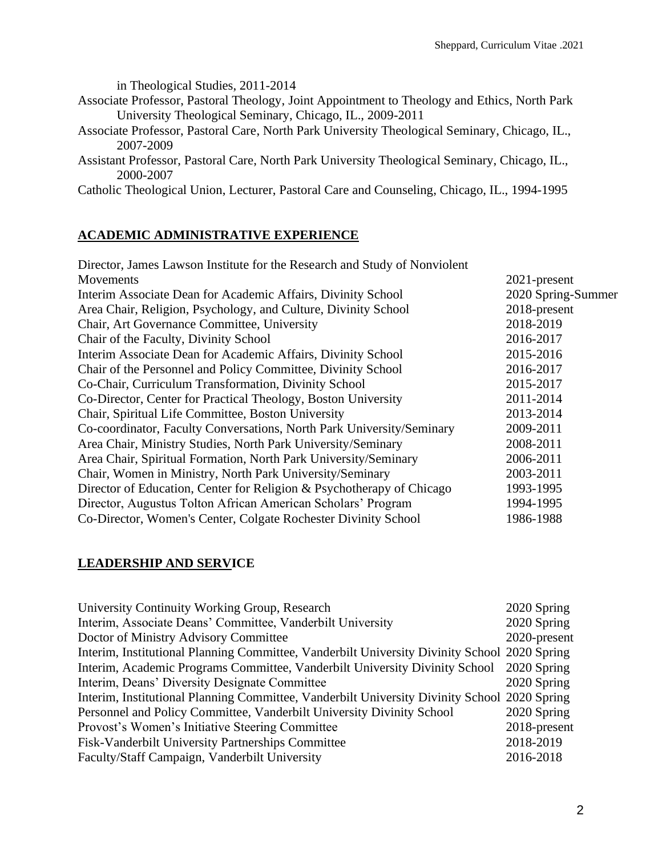in Theological Studies, 2011-2014

- Associate Professor, Pastoral Theology, Joint Appointment to Theology and Ethics, North Park University Theological Seminary, Chicago, IL., 2009-2011
- Associate Professor, Pastoral Care, North Park University Theological Seminary, Chicago, IL., 2007-2009
- Assistant Professor, Pastoral Care, North Park University Theological Seminary, Chicago, IL., 2000-2007

Catholic Theological Union, Lecturer, Pastoral Care and Counseling, Chicago, IL., 1994-1995

### **ACADEMIC ADMINISTRATIVE EXPERIENCE**

| $2021$ -present    |
|--------------------|
| 2020 Spring-Summer |
| 2018-present       |
| 2018-2019          |
| 2016-2017          |
| 2015-2016          |
| 2016-2017          |
| 2015-2017          |
| 2011-2014          |
| 2013-2014          |
| 2009-2011          |
| 2008-2011          |
| 2006-2011          |
| 2003-2011          |
| 1993-1995          |
| 1994-1995          |
| 1986-1988          |
|                    |

### **LEADERSHIP AND SERVICE**

| University Continuity Working Group, Research                                                |           | 2020 Spring  |
|----------------------------------------------------------------------------------------------|-----------|--------------|
| Interim, Associate Deans' Committee, Vanderbilt University                                   |           | 2020 Spring  |
| Doctor of Ministry Advisory Committee                                                        |           | 2020-present |
| Interim, Institutional Planning Committee, Vanderbilt University Divinity School 2020 Spring |           |              |
| Interim, Academic Programs Committee, Vanderbilt University Divinity School                  |           | 2020 Spring  |
| Interim, Deans' Diversity Designate Committee                                                |           | 2020 Spring  |
| Interim, Institutional Planning Committee, Vanderbilt University Divinity School 2020 Spring |           |              |
| Personnel and Policy Committee, Vanderbilt University Divinity School                        |           | 2020 Spring  |
| Provost's Women's Initiative Steering Committee                                              |           | 2018-present |
| Fisk-Vanderbilt University Partnerships Committee                                            | 2018-2019 |              |
| Faculty/Staff Campaign, Vanderbilt University                                                | 2016-2018 |              |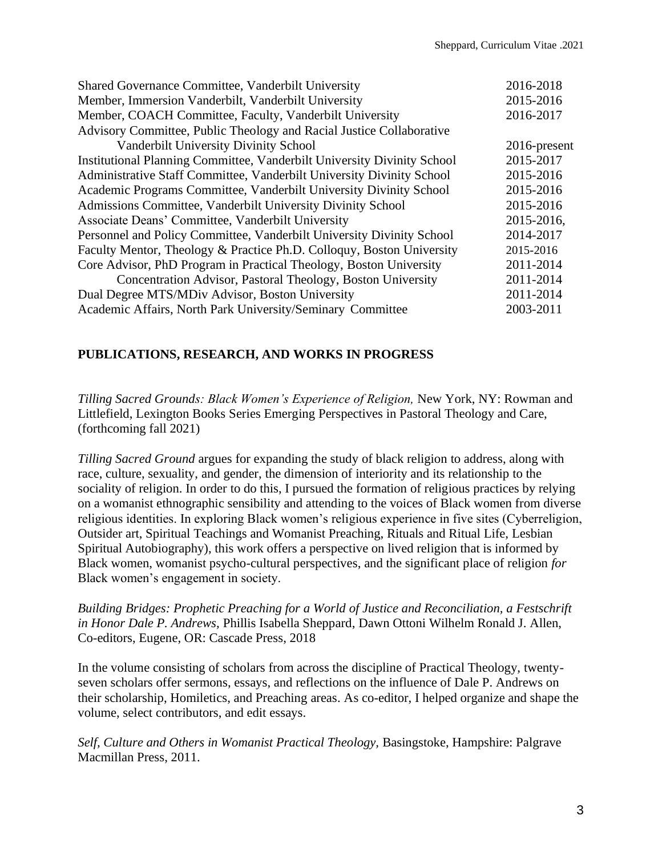| Shared Governance Committee, Vanderbilt University                      | 2016-2018    |
|-------------------------------------------------------------------------|--------------|
| Member, Immersion Vanderbilt, Vanderbilt University                     | 2015-2016    |
| Member, COACH Committee, Faculty, Vanderbilt University                 | 2016-2017    |
| Advisory Committee, Public Theology and Racial Justice Collaborative    |              |
| Vanderbilt University Divinity School                                   | 2016-present |
| Institutional Planning Committee, Vanderbilt University Divinity School | 2015-2017    |
| Administrative Staff Committee, Vanderbilt University Divinity School   | 2015-2016    |
| Academic Programs Committee, Vanderbilt University Divinity School      | 2015-2016    |
| Admissions Committee, Vanderbilt University Divinity School             | 2015-2016    |
| Associate Deans' Committee, Vanderbilt University                       | 2015-2016,   |
| Personnel and Policy Committee, Vanderbilt University Divinity School   | 2014-2017    |
| Faculty Mentor, Theology & Practice Ph.D. Colloquy, Boston University   | 2015-2016    |
| Core Advisor, PhD Program in Practical Theology, Boston University      | 2011-2014    |
| Concentration Advisor, Pastoral Theology, Boston University             | 2011-2014    |
| Dual Degree MTS/MDiv Advisor, Boston University                         | 2011-2014    |
| Academic Affairs, North Park University/Seminary Committee              | 2003-2011    |

### **PUBLICATIONS, RESEARCH, AND WORKS IN PROGRESS**

*Tilling Sacred Grounds: Black Women's Experience of Religion, New York, NY: Rowman and* Littlefield, Lexington Books Series Emerging Perspectives in Pastoral Theology and Care, (forthcoming fall 2021)

*Tilling Sacred Ground* argues for expanding the study of black religion to address, along with race, culture, sexuality, and gender, the dimension of interiority and its relationship to the sociality of religion. In order to do this, I pursued the formation of religious practices by relying on a womanist ethnographic sensibility and attending to the voices of Black women from diverse religious identities. In exploring Black women's religious experience in five sites (Cyberreligion, Outsider art, Spiritual Teachings and Womanist Preaching, Rituals and Ritual Life, Lesbian Spiritual Autobiography), this work offers a perspective on lived religion that is informed by Black women, womanist psycho-cultural perspectives, and the significant place of religion *for*  Black women's engagement in society.

*Building Bridges: Prophetic Preaching for a World of Justice and Reconciliation, a Festschrift in Honor Dale P. Andrews,* Phillis Isabella Sheppard, Dawn Ottoni Wilhelm Ronald J. Allen, Co-editors, Eugene, OR: Cascade Press, 2018

In the volume consisting of scholars from across the discipline of Practical Theology, twentyseven scholars offer sermons, essays, and reflections on the influence of Dale P. Andrews on their scholarship, Homiletics, and Preaching areas. As co-editor, I helped organize and shape the volume, select contributors, and edit essays.

*Self, Culture and Others in Womanist Practical Theology,* Basingstoke, Hampshire: Palgrave Macmillan Press, 2011.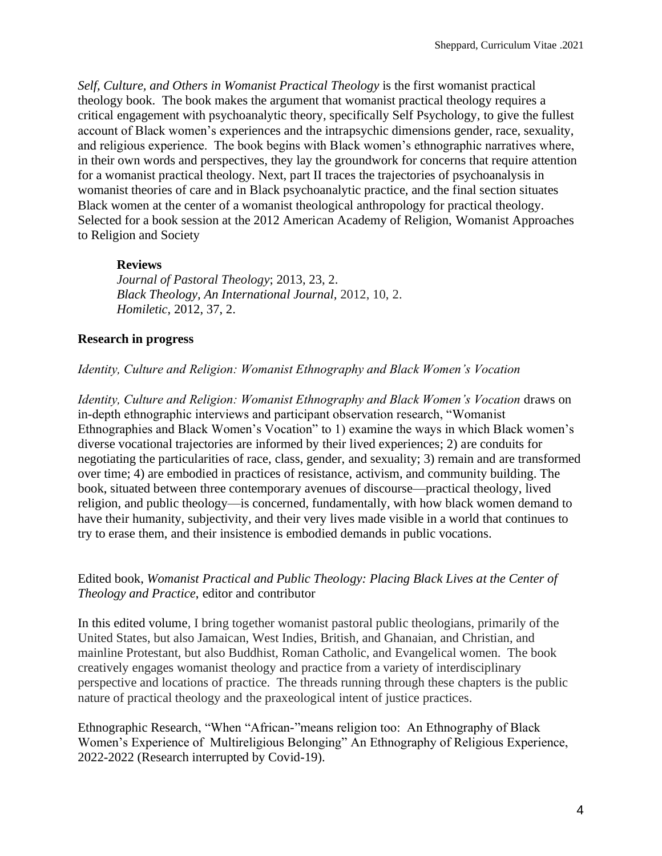*Self, Culture, and Others in Womanist Practical Theology* is the first womanist practical theology book. The book makes the argument that womanist practical theology requires a critical engagement with psychoanalytic theory, specifically Self Psychology, to give the fullest account of Black women's experiences and the intrapsychic dimensions gender, race, sexuality, and religious experience. The book begins with Black women's ethnographic narratives where, in their own words and perspectives, they lay the groundwork for concerns that require attention for a womanist practical theology. Next, part II traces the trajectories of psychoanalysis in womanist theories of care and in Black psychoanalytic practice, and the final section situates Black women at the center of a womanist theological anthropology for practical theology. Selected for a book session at the 2012 American Academy of Religion, Womanist Approaches to Religion and Society

#### **Reviews**

*Journal of Pastoral Theology*; 2013, 23, 2. *Black Theology, An International Journal,* 2012, 10, 2. *Homiletic*, 2012, 37, 2.

### **Research in progress**

### *Identity, Culture and Religion: Womanist Ethnography and Black Women's Vocation*

*Identity, Culture and Religion: Womanist Ethnography and Black Women's Vocation* draws on in-depth ethnographic interviews and participant observation research, "Womanist Ethnographies and Black Women's Vocation" to 1) examine the ways in which Black women's diverse vocational trajectories are informed by their lived experiences; 2) are conduits for negotiating the particularities of race, class, gender, and sexuality; 3) remain and are transformed over time; 4) are embodied in practices of resistance, activism, and community building. The book, situated between three contemporary avenues of discourse—practical theology, lived religion, and public theology—is concerned, fundamentally, with how black women demand to have their humanity, subjectivity, and their very lives made visible in a world that continues to try to erase them, and their insistence is embodied demands in public vocations.

### Edited book, *Womanist Practical and Public Theology: Placing Black Lives at the Center of Theology and Practice*, editor and contributor

In this edited volume, I bring together womanist pastoral public theologians, primarily of the United States, but also Jamaican, West Indies, British, and Ghanaian, and Christian, and mainline Protestant, but also Buddhist, Roman Catholic, and Evangelical women. The book creatively engages womanist theology and practice from a variety of interdisciplinary perspective and locations of practice. The threads running through these chapters is the public nature of practical theology and the praxeological intent of justice practices.

Ethnographic Research, "When "African-"means religion too: An Ethnography of Black Women's Experience of Multireligious Belonging" An Ethnography of Religious Experience, 2022-2022 (Research interrupted by Covid-19).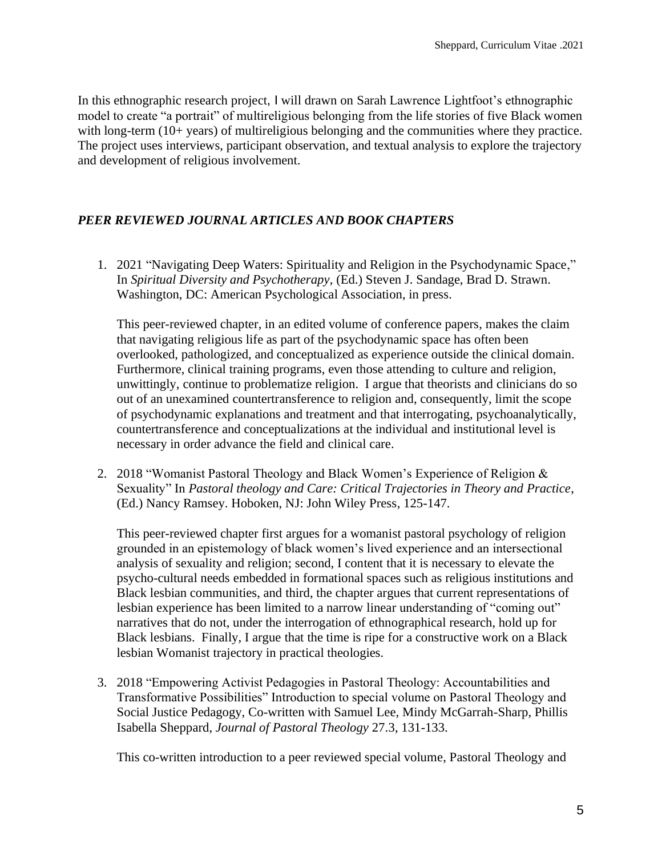In this ethnographic research project, I will drawn on Sarah Lawrence Lightfoot's ethnographic model to create "a portrait" of multireligious belonging from the life stories of five Black women with long-term (10+ years) of multireligious belonging and the communities where they practice. The project uses interviews, participant observation, and textual analysis to explore the trajectory and development of religious involvement.

### *PEER REVIEWED JOURNAL ARTICLES AND BOOK CHAPTERS*

1. 2021 "Navigating Deep Waters: Spirituality and Religion in the Psychodynamic Space," In *Spiritual Diversity and Psychotherapy*, (Ed.) Steven J. Sandage, Brad D. Strawn. Washington, DC: American Psychological Association, in press.

This peer-reviewed chapter, in an edited volume of conference papers, makes the claim that navigating religious life as part of the psychodynamic space has often been overlooked, pathologized, and conceptualized as experience outside the clinical domain. Furthermore, clinical training programs, even those attending to culture and religion, unwittingly, continue to problematize religion. I argue that theorists and clinicians do so out of an unexamined countertransference to religion and, consequently, limit the scope of psychodynamic explanations and treatment and that interrogating, psychoanalytically, countertransference and conceptualizations at the individual and institutional level is necessary in order advance the field and clinical care.

2. 2018 "Womanist Pastoral Theology and Black Women's Experience of Religion & Sexuality" In *Pastoral theology and Care: Critical Trajectories in Theory and Practice*, (Ed.) Nancy Ramsey. Hoboken, NJ: John Wiley Press, 125-147.

This peer-reviewed chapter first argues for a womanist pastoral psychology of religion grounded in an epistemology of black women's lived experience and an intersectional analysis of sexuality and religion; second, I content that it is necessary to elevate the psycho-cultural needs embedded in formational spaces such as religious institutions and Black lesbian communities, and third, the chapter argues that current representations of lesbian experience has been limited to a narrow linear understanding of "coming out" narratives that do not, under the interrogation of ethnographical research, hold up for Black lesbians. Finally, I argue that the time is ripe for a constructive work on a Black lesbian Womanist trajectory in practical theologies.

3. 2018 "Empowering Activist Pedagogies in Pastoral Theology: Accountabilities and Transformative Possibilities" Introduction to special volume on Pastoral Theology and Social Justice Pedagogy, Co-written with Samuel Lee, Mindy McGarrah-Sharp, Phillis Isabella Sheppard, *Journal of Pastoral Theology* 27.3, 131-133.

This co-written introduction to a peer reviewed special volume, Pastoral Theology and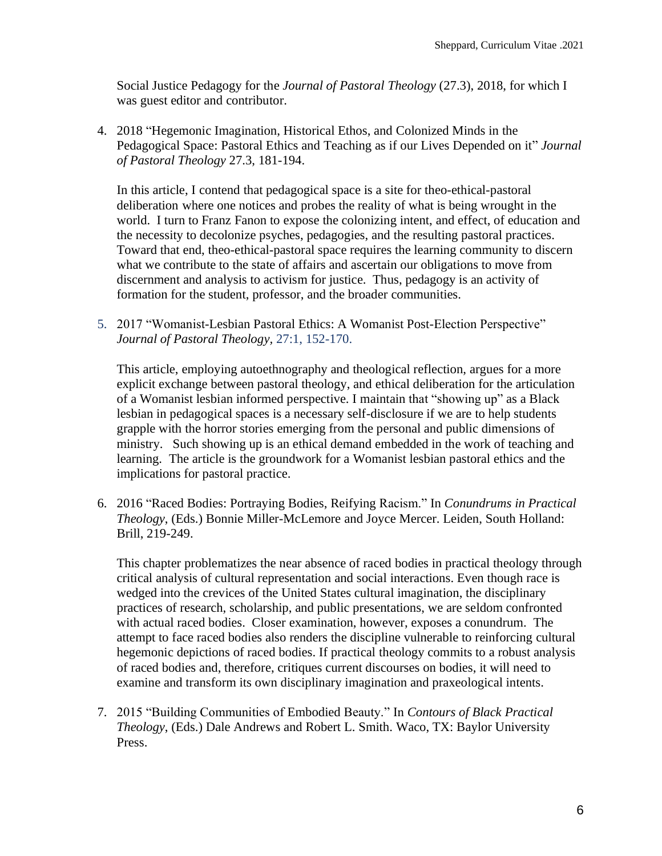Social Justice Pedagogy for the *Journal of Pastoral Theology* (27.3), 2018, for which I was guest editor and contributor.

4. 2018 "Hegemonic Imagination, Historical Ethos, and Colonized Minds in the Pedagogical Space: Pastoral Ethics and Teaching as if our Lives Depended on it" *Journal of Pastoral Theology* 27.3, 181-194.

In this article, I contend that pedagogical space is a site for theo-ethical-pastoral deliberation where one notices and probes the reality of what is being wrought in the world. I turn to Franz Fanon to expose the colonizing intent, and effect, of education and the necessity to decolonize psyches, pedagogies, and the resulting pastoral practices. Toward that end, theo-ethical-pastoral space requires the learning community to discern what we contribute to the state of affairs and ascertain our obligations to move from discernment and analysis to activism for justice. Thus, pedagogy is an activity of formation for the student, professor, and the broader communities.

5. 2017 "Womanist-Lesbian Pastoral Ethics: A Womanist Post-Election Perspective" *Journal of Pastoral Theology,* 27:1, 152-170.

This article, employing autoethnography and theological reflection, argues for a more explicit exchange between pastoral theology, and ethical deliberation for the articulation of a Womanist lesbian informed perspective. I maintain that "showing up" as a Black lesbian in pedagogical spaces is a necessary self-disclosure if we are to help students grapple with the horror stories emerging from the personal and public dimensions of ministry. Such showing up is an ethical demand embedded in the work of teaching and learning. The article is the groundwork for a Womanist lesbian pastoral ethics and the implications for pastoral practice.

6. 2016 "Raced Bodies: Portraying Bodies, Reifying Racism." In *Conundrums in Practical Theology*, (Eds.) Bonnie Miller-McLemore and Joyce Mercer. Leiden, South Holland: Brill, 219-249.

This chapter problematizes the near absence of raced bodies in practical theology through critical analysis of cultural representation and social interactions. Even though race is wedged into the crevices of the United States cultural imagination, the disciplinary practices of research, scholarship, and public presentations, we are seldom confronted with actual raced bodies. Closer examination, however, exposes a conundrum. The attempt to face raced bodies also renders the discipline vulnerable to reinforcing cultural hegemonic depictions of raced bodies. If practical theology commits to a robust analysis of raced bodies and, therefore, critiques current discourses on bodies, it will need to examine and transform its own disciplinary imagination and praxeological intents.

7. 2015 "Building Communities of Embodied Beauty." In *Contours of Black Practical Theology*, (Eds.) Dale Andrews and Robert L. Smith. Waco, TX: Baylor University Press.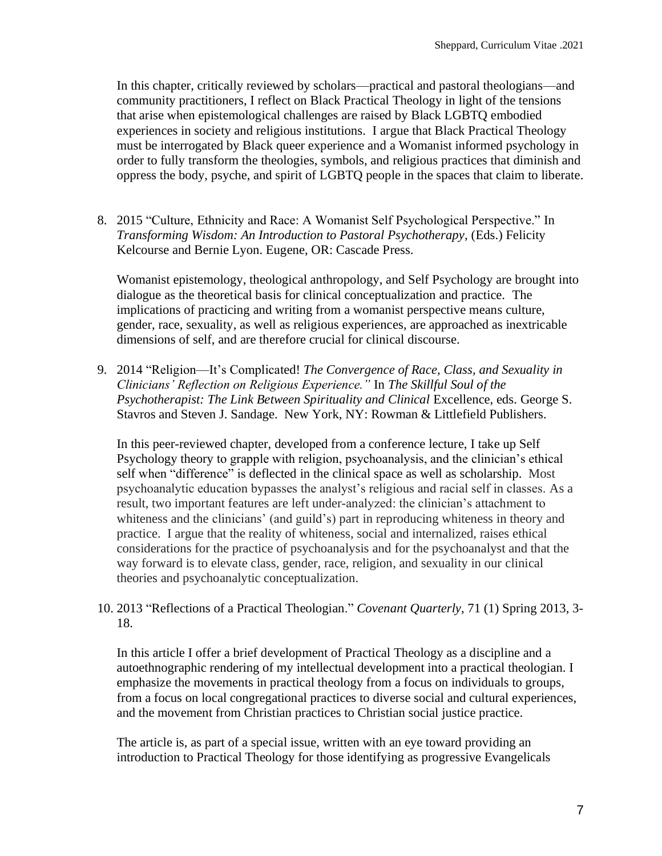In this chapter, critically reviewed by scholars—practical and pastoral theologians—and community practitioners, I reflect on Black Practical Theology in light of the tensions that arise when epistemological challenges are raised by Black LGBTQ embodied experiences in society and religious institutions. I argue that Black Practical Theology must be interrogated by Black queer experience and a Womanist informed psychology in order to fully transform the theologies, symbols, and religious practices that diminish and oppress the body, psyche, and spirit of LGBTQ people in the spaces that claim to liberate.

8. 2015 "Culture, Ethnicity and Race: A Womanist Self Psychological Perspective." In *Transforming Wisdom: An Introduction to Pastoral Psychotherapy*, (Eds.) Felicity Kelcourse and Bernie Lyon. Eugene, OR: Cascade Press.

Womanist epistemology, theological anthropology, and Self Psychology are brought into dialogue as the theoretical basis for clinical conceptualization and practice. The implications of practicing and writing from a womanist perspective means culture, gender, race, sexuality, as well as religious experiences, are approached as inextricable dimensions of self, and are therefore crucial for clinical discourse.

9. 2014 "Religion—It's Complicated! *The Convergence of Race, Class, and Sexuality in Clinicians' Reflection on Religious Experience."* In *The Skillful Soul of the Psychotherapist: The Link Between Spirituality and Clinical Excellence, eds. George S.* Stavros and Steven J. Sandage. New York, NY: Rowman & Littlefield Publishers.

In this peer-reviewed chapter, developed from a conference lecture, I take up Self Psychology theory to grapple with religion, psychoanalysis, and the clinician's ethical self when "difference" is deflected in the clinical space as well as scholarship. Most psychoanalytic education bypasses the analyst's religious and racial self in classes. As a result, two important features are left under-analyzed: the clinician's attachment to whiteness and the clinicians' (and guild's) part in reproducing whiteness in theory and practice. I argue that the reality of whiteness, social and internalized, raises ethical considerations for the practice of psychoanalysis and for the psychoanalyst and that the way forward is to elevate class, gender, race, religion, and sexuality in our clinical theories and psychoanalytic conceptualization.

10. 2013 "Reflections of a Practical Theologian." *Covenant Quarterly*, 71 (1) Spring 2013, 3- 18.

In this article I offer a brief development of Practical Theology as a discipline and a autoethnographic rendering of my intellectual development into a practical theologian. I emphasize the movements in practical theology from a focus on individuals to groups, from a focus on local congregational practices to diverse social and cultural experiences, and the movement from Christian practices to Christian social justice practice.

The article is, as part of a special issue, written with an eye toward providing an introduction to Practical Theology for those identifying as progressive Evangelicals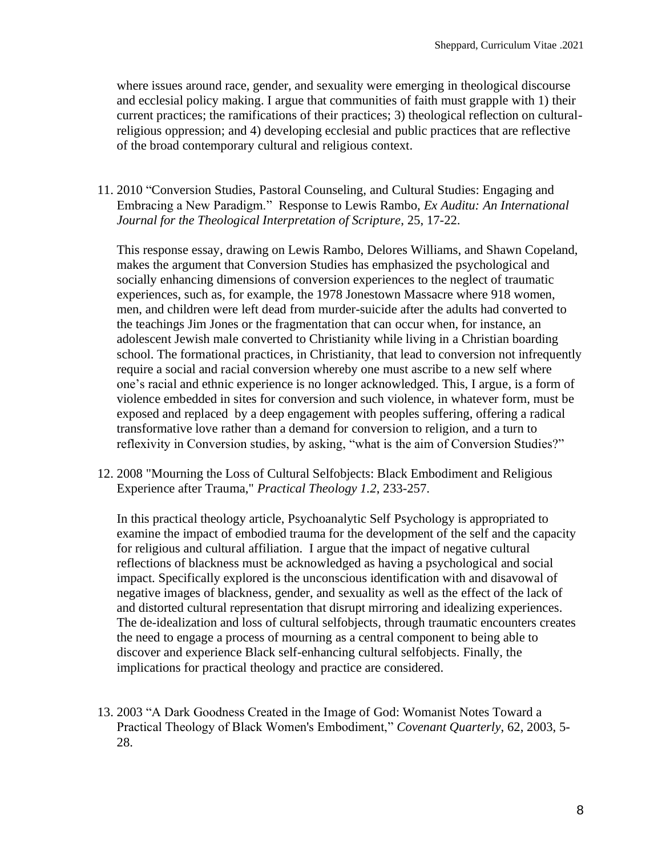where issues around race, gender, and sexuality were emerging in theological discourse and ecclesial policy making. I argue that communities of faith must grapple with 1) their current practices; the ramifications of their practices; 3) theological reflection on culturalreligious oppression; and 4) developing ecclesial and public practices that are reflective of the broad contemporary cultural and religious context.

11. 2010 "Conversion Studies, Pastoral Counseling, and Cultural Studies: Engaging and Embracing a New Paradigm." Response to Lewis Rambo, *Ex Auditu: An International Journal for the Theological Interpretation of Scripture*, 25, 17-22.

This response essay, drawing on Lewis Rambo, Delores Williams, and Shawn Copeland, makes the argument that Conversion Studies has emphasized the psychological and socially enhancing dimensions of conversion experiences to the neglect of traumatic experiences, such as, for example, the 1978 Jonestown Massacre where 918 women, men, and children were left dead from murder-suicide after the adults had converted to the teachings Jim Jones or the fragmentation that can occur when, for instance, an adolescent Jewish male converted to Christianity while living in a Christian boarding school. The formational practices, in Christianity, that lead to conversion not infrequently require a social and racial conversion whereby one must ascribe to a new self where one's racial and ethnic experience is no longer acknowledged. This, I argue, is a form of violence embedded in sites for conversion and such violence, in whatever form, must be exposed and replaced by a deep engagement with peoples suffering, offering a radical transformative love rather than a demand for conversion to religion, and a turn to reflexivity in Conversion studies, by asking, "what is the aim of Conversion Studies?"

12. 2008 "Mourning the Loss of Cultural Selfobjects: Black Embodiment and Religious Experience after Trauma," *Practical Theology 1.2*, 233-257.

In this practical theology article, Psychoanalytic Self Psychology is appropriated to examine the impact of embodied trauma for the development of the self and the capacity for religious and cultural affiliation. I argue that the impact of negative cultural reflections of blackness must be acknowledged as having a psychological and social impact. Specifically explored is the unconscious identification with and disavowal of negative images of blackness, gender, and sexuality as well as the effect of the lack of and distorted cultural representation that disrupt mirroring and idealizing experiences. The de-idealization and loss of cultural selfobjects, through traumatic encounters creates the need to engage a process of mourning as a central component to being able to discover and experience Black self-enhancing cultural selfobjects. Finally, the implications for practical theology and practice are considered.

13. 2003 "A Dark Goodness Created in the Image of God: Womanist Notes Toward a Practical Theology of Black Women's Embodiment," *Covenant Quarterly*, 62, 2003, 5- 28.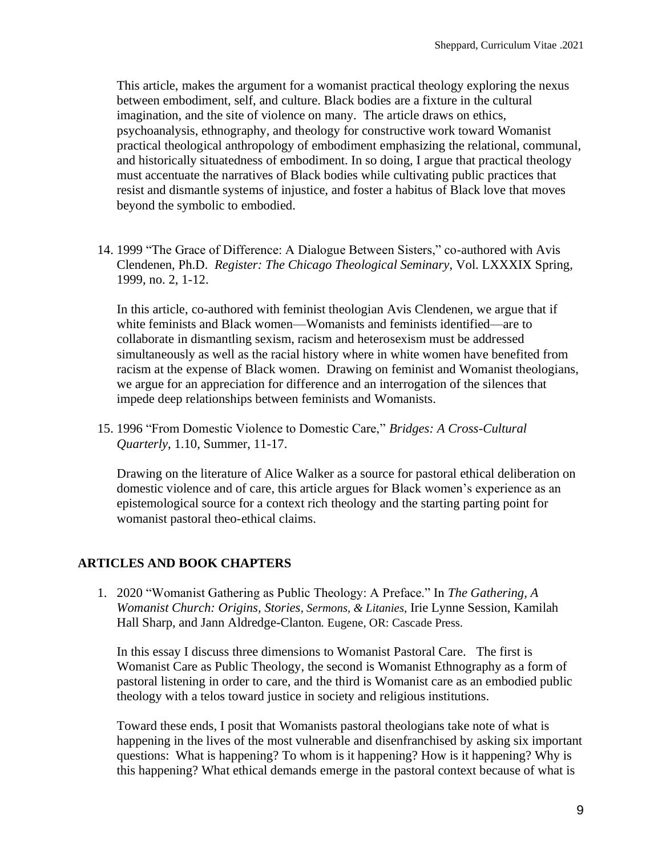This article, makes the argument for a womanist practical theology exploring the nexus between embodiment, self, and culture. Black bodies are a fixture in the cultural imagination, and the site of violence on many. The article draws on ethics, psychoanalysis, ethnography, and theology for constructive work toward Womanist practical theological anthropology of embodiment emphasizing the relational, communal, and historically situatedness of embodiment. In so doing, I argue that practical theology must accentuate the narratives of Black bodies while cultivating public practices that resist and dismantle systems of injustice, and foster a habitus of Black love that moves beyond the symbolic to embodied.

14. 1999 "The Grace of Difference: A Dialogue Between Sisters," co-authored with Avis Clendenen, Ph.D. *Register: The Chicago Theological Seminary*, Vol. LXXXIX Spring, 1999, no. 2, 1-12.

In this article, co-authored with feminist theologian Avis Clendenen, we argue that if white feminists and Black women—Womanists and feminists identified—are to collaborate in dismantling sexism, racism and heterosexism must be addressed simultaneously as well as the racial history where in white women have benefited from racism at the expense of Black women. Drawing on feminist and Womanist theologians, we argue for an appreciation for difference and an interrogation of the silences that impede deep relationships between feminists and Womanists.

15. 1996 "From Domestic Violence to Domestic Care," *Bridges: A Cross-Cultural Quarterly*, 1.10, Summer, 11-17.

Drawing on the literature of Alice Walker as a source for pastoral ethical deliberation on domestic violence and of care, this article argues for Black women's experience as an epistemological source for a context rich theology and the starting parting point for womanist pastoral theo-ethical claims.

### **ARTICLES AND BOOK CHAPTERS**

1. 2020 "Womanist Gathering as Public Theology: A Preface." In *The Gathering, A Womanist Church: Origins, Stories, Sermons, & Litanies,* Irie Lynne Session, Kamilah Hall Sharp, and Jann Aldredge-Clanton*.* Eugene, OR: Cascade Press.

In this essay I discuss three dimensions to Womanist Pastoral Care. The first is Womanist Care as Public Theology, the second is Womanist Ethnography as a form of pastoral listening in order to care, and the third is Womanist care as an embodied public theology with a telos toward justice in society and religious institutions.

Toward these ends, I posit that Womanists pastoral theologians take note of what is happening in the lives of the most vulnerable and disenfranchised by asking six important questions: What is happening? To whom is it happening? How is it happening? Why is this happening? What ethical demands emerge in the pastoral context because of what is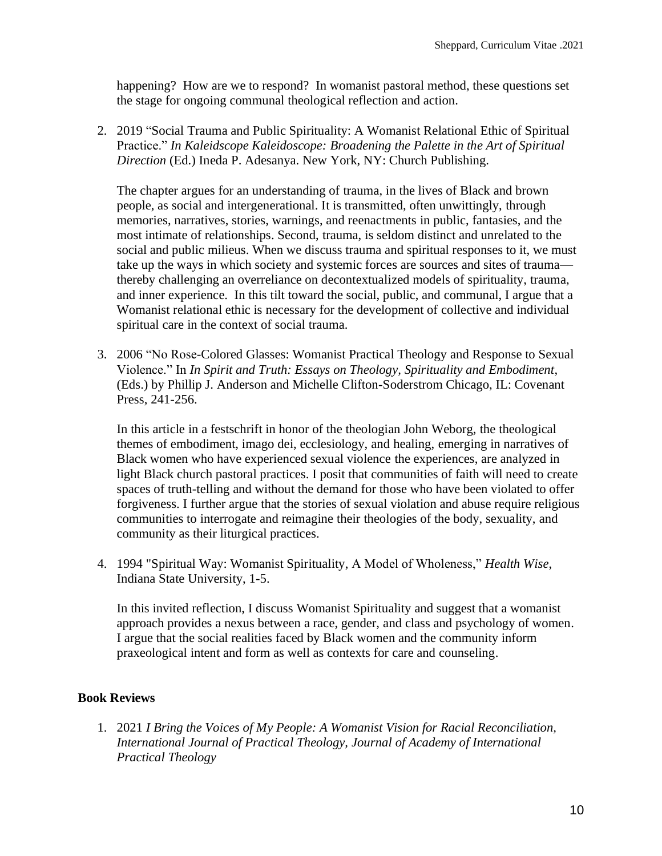happening? How are we to respond? In womanist pastoral method, these questions set the stage for ongoing communal theological reflection and action.

2. 2019 "Social Trauma and Public Spirituality: A Womanist Relational Ethic of Spiritual Practice." *In Kaleidscope Kaleidoscope: Broadening the Palette in the Art of Spiritual Direction* (Ed.) Ineda P. Adesanya. New York, NY: Church Publishing.

The chapter argues for an understanding of trauma, in the lives of Black and brown people, as social and intergenerational. It is transmitted, often unwittingly, through memories, narratives, stories, warnings, and reenactments in public, fantasies, and the most intimate of relationships. Second, trauma, is seldom distinct and unrelated to the social and public milieus. When we discuss trauma and spiritual responses to it, we must take up the ways in which society and systemic forces are sources and sites of trauma thereby challenging an overreliance on decontextualized models of spirituality, trauma, and inner experience. In this tilt toward the social, public, and communal, I argue that a Womanist relational ethic is necessary for the development of collective and individual spiritual care in the context of social trauma.

3. 2006 "No Rose-Colored Glasses: Womanist Practical Theology and Response to Sexual Violence." In *In Spirit and Truth: Essays on Theology, Spirituality and Embodiment*, (Eds.) by Phillip J. Anderson and Michelle Clifton-Soderstrom Chicago, IL: Covenant Press, 241-256.

In this article in a festschrift in honor of the theologian John Weborg, the theological themes of embodiment, imago dei, ecclesiology, and healing, emerging in narratives of Black women who have experienced sexual violence the experiences, are analyzed in light Black church pastoral practices. I posit that communities of faith will need to create spaces of truth-telling and without the demand for those who have been violated to offer forgiveness. I further argue that the stories of sexual violation and abuse require religious communities to interrogate and reimagine their theologies of the body, sexuality, and community as their liturgical practices.

4. 1994 "Spiritual Way: Womanist Spirituality, A Model of Wholeness," *Health Wise*, Indiana State University, 1-5.

In this invited reflection, I discuss Womanist Spirituality and suggest that a womanist approach provides a nexus between a race, gender, and class and psychology of women. I argue that the social realities faced by Black women and the community inform praxeological intent and form as well as contexts for care and counseling.

#### **Book Reviews**

1. 2021 *I Bring the Voices of My People: A Womanist Vision for Racial Reconciliation, International Journal of Practical Theology, Journal of Academy of International Practical Theology*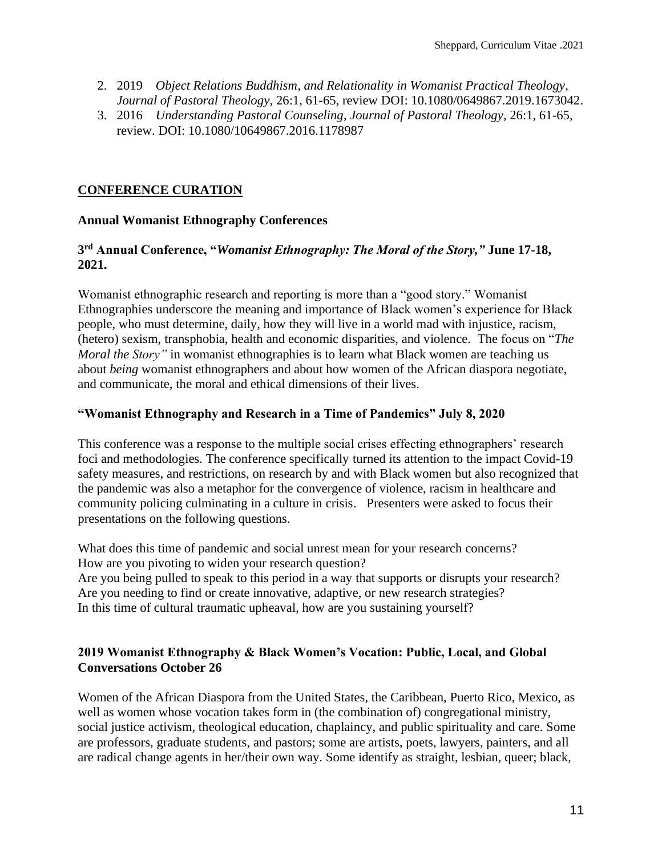- 2. 2019 *Object Relations Buddhism, and Relationality in Womanist Practical Theology*, *Journal of Pastoral Theology*, 26:1, 61-65, review DOI: 10.1080/0649867.2019.1673042.
- 3. 2016 *Understanding Pastoral Counseling*, *Journal of Pastoral Theology*, 26:1, 61-65, review. DOI: 10.1080/10649867.2016.1178987

### **CONFERENCE CURATION**

### **Annual Womanist Ethnography Conferences**

### **3 rd Annual Conference, "***Womanist Ethnography: The Moral of the Story,"* **June 17-18, 2021.**

Womanist ethnographic research and reporting is more than a "good story." Womanist Ethnographies underscore the meaning and importance of Black women's experience for Black people, who must determine, daily, how they will live in a world mad with injustice, racism, (hetero) sexism, transphobia, health and economic disparities, and violence. The focus on "*The Moral the Story"* in womanist ethnographies is to learn what Black women are teaching us about *being* womanist ethnographers and about how women of the African diaspora negotiate, and communicate, the moral and ethical dimensions of their lives.

### **"Womanist Ethnography and Research in a Time of Pandemics" July 8, 2020**

This conference was a response to the multiple social crises effecting ethnographers' research foci and methodologies. The conference specifically turned its attention to the impact Covid-19 safety measures, and restrictions, on research by and with Black women but also recognized that the pandemic was also a metaphor for the convergence of violence, racism in healthcare and community policing culminating in a culture in crisis. Presenters were asked to focus their presentations on the following questions.

What does this time of pandemic and social unrest mean for your research concerns? How are you pivoting to widen your research question? Are you being pulled to speak to this period in a way that supports or disrupts your research? Are you needing to find or create innovative, adaptive, or new research strategies? In this time of cultural traumatic upheaval, how are you sustaining yourself?

### **2019 Womanist Ethnography & Black Women's Vocation: Public, Local, and Global Conversations October 26**

Women of the African Diaspora from the United States, the Caribbean, Puerto Rico, Mexico, as well as women whose vocation takes form in (the combination of) congregational ministry, social justice activism, theological education, chaplaincy, and public spirituality and care. Some are professors, graduate students, and pastors; some are artists, poets, lawyers, painters, and all are radical change agents in her/their own way. Some identify as straight, lesbian, queer; black,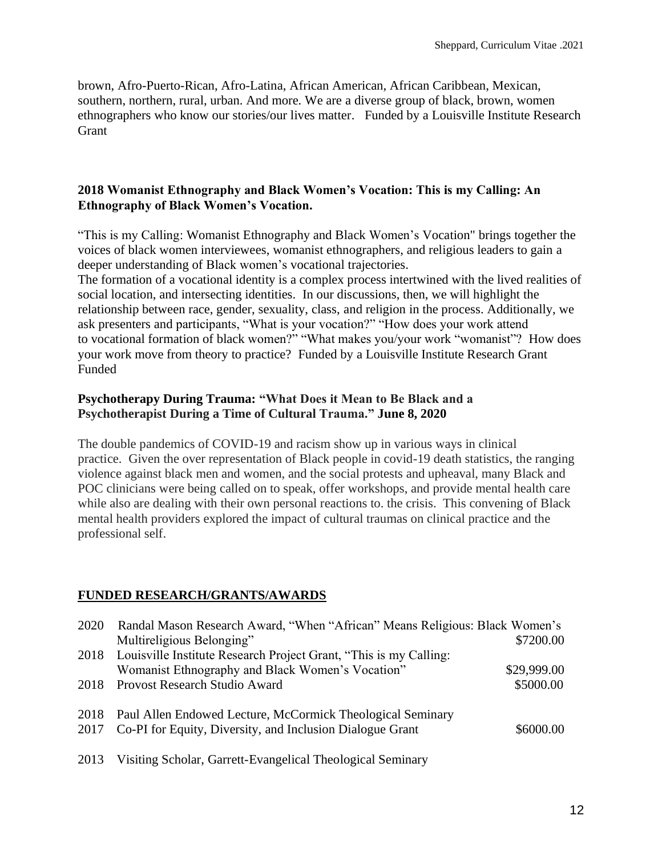brown, Afro-Puerto-Rican, Afro-Latina, African American, African Caribbean, Mexican, southern, northern, rural, urban. And more. We are a diverse group of black, brown, women ethnographers who know our stories/our lives matter. Funded by a Louisville Institute Research **Grant** 

### **2018 Womanist Ethnography and Black Women's Vocation: This is my Calling: An Ethnography of Black Women's Vocation.**

"This is my Calling: Womanist Ethnography and Black Women's Vocation" brings together the voices of black women interviewees, womanist ethnographers, and religious leaders to gain a deeper understanding of Black women's vocational trajectories.

The formation of a vocational identity is a complex process intertwined with the lived realities of social location, and intersecting identities. In our discussions, then, we will highlight the relationship between race, gender, sexuality, class, and religion in the process. Additionally, we ask presenters and participants, "What is your vocation?" "How does your work attend to vocational formation of black women?" "What makes you/your work "womanist"? How does your work move from theory to practice? Funded by a Louisville Institute Research Grant Funded

### **Psychotherapy During Trauma: "What Does it Mean to Be Black and a Psychotherapist During a Time of Cultural Trauma." June 8, 2020**

The double pandemics of COVID-19 and racism show up in various ways in clinical practice. Given the over representation of Black people in covid-19 death statistics, the ranging violence against black men and women, and the social protests and upheaval, many Black and POC clinicians were being called on to speak, offer workshops, and provide mental health care while also are dealing with their own personal reactions to. the crisis. This convening of Black mental health providers explored the impact of cultural traumas on clinical practice and the professional self.

### **FUNDED RESEARCH/GRANTS/AWARDS**

| 2020 Randal Mason Research Award, "When "African" Means Religious: Black Women's |             |
|----------------------------------------------------------------------------------|-------------|
| Multireligious Belonging"                                                        | \$7200.00   |
| 2018 Louisville Institute Research Project Grant, "This is my Calling:           |             |
| Womanist Ethnography and Black Women's Vocation"                                 | \$29,999.00 |
| 2018 Provost Research Studio Award                                               | \$5000.00   |
| 2018 Paul Allen Endowed Lecture, McCormick Theological Seminary                  |             |
| 2017 Co-PI for Equity, Diversity, and Inclusion Dialogue Grant                   | \$6000.00   |
|                                                                                  |             |

2013 Visiting Scholar, Garrett-Evangelical Theological Seminary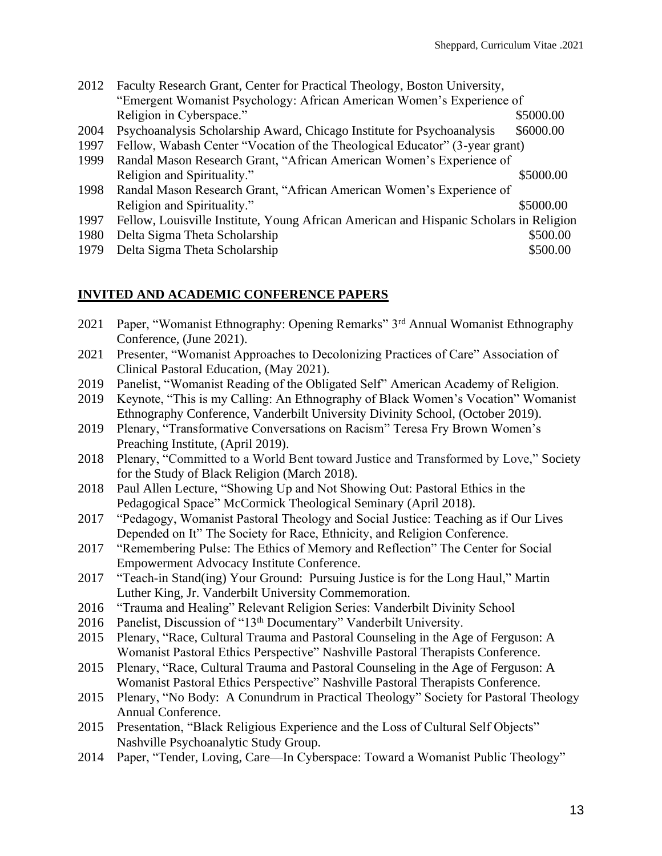| 2012 | Faculty Research Grant, Center for Practical Theology, Boston University,              |           |
|------|----------------------------------------------------------------------------------------|-----------|
|      | "Emergent Womanist Psychology: African American Women's Experience of                  |           |
|      | Religion in Cyberspace."                                                               | \$5000.00 |
| 2004 | Psychoanalysis Scholarship Award, Chicago Institute for Psychoanalysis                 | \$6000.00 |
| 1997 | Fellow, Wabash Center "Vocation of the Theological Educator" (3-year grant)            |           |
| 1999 | Randal Mason Research Grant, "African American Women's Experience of                   |           |
|      | Religion and Spirituality."                                                            | \$5000.00 |
| 1998 | Randal Mason Research Grant, "African American Women's Experience of                   |           |
|      | Religion and Spirituality."                                                            | \$5000.00 |
| 1997 | Fellow, Louisville Institute, Young African American and Hispanic Scholars in Religion |           |
| 1980 | Delta Sigma Theta Scholarship                                                          | \$500.00  |
| 1979 | Delta Sigma Theta Scholarship                                                          | \$500.00  |

### **INVITED AND ACADEMIC CONFERENCE PAPERS**

- 2021 Paper, "Womanist Ethnography: Opening Remarks" 3rd Annual Womanist Ethnography Conference, (June 2021).
- 2021 Presenter, "Womanist Approaches to Decolonizing Practices of Care" Association of Clinical Pastoral Education, (May 2021).
- 2019 Panelist, "Womanist Reading of the Obligated Self" American Academy of Religion.
- 2019 Keynote, "This is my Calling: An Ethnography of Black Women's Vocation" Womanist Ethnography Conference, Vanderbilt University Divinity School, (October 2019).
- 2019 Plenary, "Transformative Conversations on Racism" Teresa Fry Brown Women's Preaching Institute, (April 2019).
- 2018 Plenary, "Committed to a World Bent toward Justice and Transformed by Love," Society for the Study of Black Religion (March 2018).
- 2018 Paul Allen Lecture, "Showing Up and Not Showing Out: Pastoral Ethics in the Pedagogical Space" McCormick Theological Seminary (April 2018).
- 2017 "Pedagogy, Womanist Pastoral Theology and Social Justice: Teaching as if Our Lives Depended on It" The Society for Race, Ethnicity, and Religion Conference.
- 2017 "Remembering Pulse: The Ethics of Memory and Reflection" The Center for Social Empowerment Advocacy Institute Conference.
- 2017 "Teach-in Stand(ing) Your Ground: Pursuing Justice is for the Long Haul," Martin Luther King, Jr. Vanderbilt University Commemoration.
- 2016 "Trauma and Healing" Relevant Religion Series: Vanderbilt Divinity School
- 2016 Panelist, Discussion of "13<sup>th</sup> Documentary" Vanderbilt University.
- 2015 Plenary, "Race, Cultural Trauma and Pastoral Counseling in the Age of Ferguson: A Womanist Pastoral Ethics Perspective" Nashville Pastoral Therapists Conference.
- 2015 Plenary, "Race, Cultural Trauma and Pastoral Counseling in the Age of Ferguson: A Womanist Pastoral Ethics Perspective" Nashville Pastoral Therapists Conference.
- 2015 Plenary, "No Body: A Conundrum in Practical Theology" Society for Pastoral Theology Annual Conference.
- 2015 Presentation, "Black Religious Experience and the Loss of Cultural Self Objects" Nashville Psychoanalytic Study Group.
- 2014 Paper, "Tender, Loving, Care—In Cyberspace: Toward a Womanist Public Theology"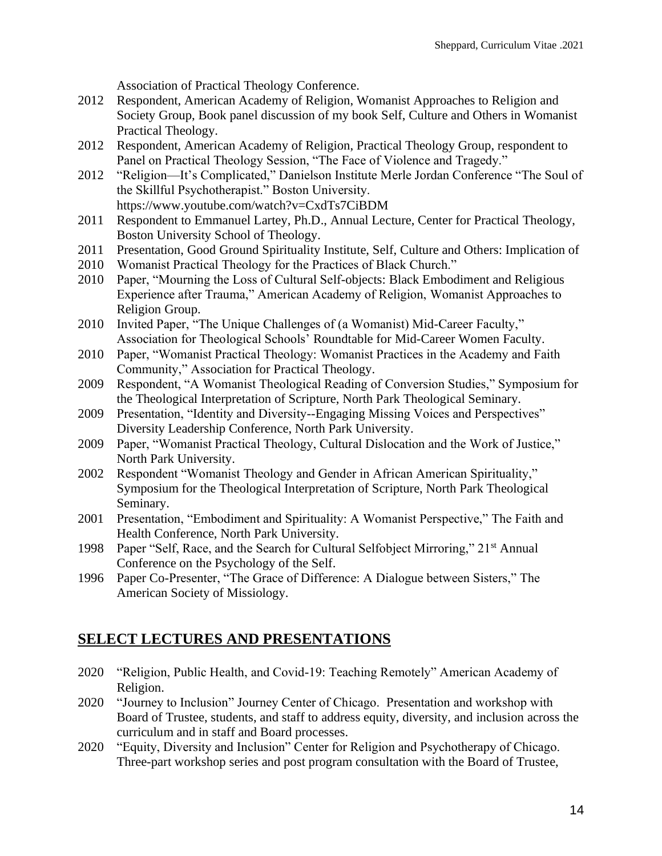Association of Practical Theology Conference.

- 2012 Respondent, American Academy of Religion, Womanist Approaches to Religion and Society Group, Book panel discussion of my book Self, Culture and Others in Womanist Practical Theology.
- 2012 Respondent, American Academy of Religion, Practical Theology Group, respondent to Panel on Practical Theology Session, "The Face of Violence and Tragedy."
- 2012 "Religion—It's Complicated," Danielson Institute Merle Jordan Conference "The Soul of the Skillful Psychotherapist." Boston University. https://www.youtube.com/watch?v=CxdTs7CiBDM
- 2011 Respondent to Emmanuel Lartey, Ph.D., Annual Lecture, Center for Practical Theology, Boston University School of Theology.
- 2011 Presentation, Good Ground Spirituality Institute, Self, Culture and Others: Implication of
- 2010 Womanist Practical Theology for the Practices of Black Church."
- 2010 Paper, "Mourning the Loss of Cultural Self-objects: Black Embodiment and Religious Experience after Trauma," American Academy of Religion, Womanist Approaches to Religion Group.
- 2010 Invited Paper, "The Unique Challenges of (a Womanist) Mid-Career Faculty," Association for Theological Schools' Roundtable for Mid-Career Women Faculty.
- 2010 Paper, "Womanist Practical Theology: Womanist Practices in the Academy and Faith Community," Association for Practical Theology.
- 2009 Respondent, "A Womanist Theological Reading of Conversion Studies," Symposium for the Theological Interpretation of Scripture, North Park Theological Seminary.
- 2009 Presentation, "Identity and Diversity--Engaging Missing Voices and Perspectives" Diversity Leadership Conference, North Park University.
- 2009 Paper, "Womanist Practical Theology, Cultural Dislocation and the Work of Justice," North Park University.
- 2002 Respondent "Womanist Theology and Gender in African American Spirituality," Symposium for the Theological Interpretation of Scripture, North Park Theological Seminary.
- 2001 Presentation, "Embodiment and Spirituality: A Womanist Perspective," The Faith and Health Conference, North Park University.
- 1998 Paper "Self, Race, and the Search for Cultural Selfobject Mirroring," 21st Annual Conference on the Psychology of the Self.
- 1996 Paper Co-Presenter, "The Grace of Difference: A Dialogue between Sisters," The American Society of Missiology.

# **SELECT LECTURES AND PRESENTATIONS**

- 2020 "Religion, Public Health, and Covid-19: Teaching Remotely" American Academy of Religion.
- 2020 "Journey to Inclusion" Journey Center of Chicago. Presentation and workshop with Board of Trustee, students, and staff to address equity, diversity, and inclusion across the curriculum and in staff and Board processes.
- 2020 "Equity, Diversity and Inclusion" Center for Religion and Psychotherapy of Chicago. Three-part workshop series and post program consultation with the Board of Trustee,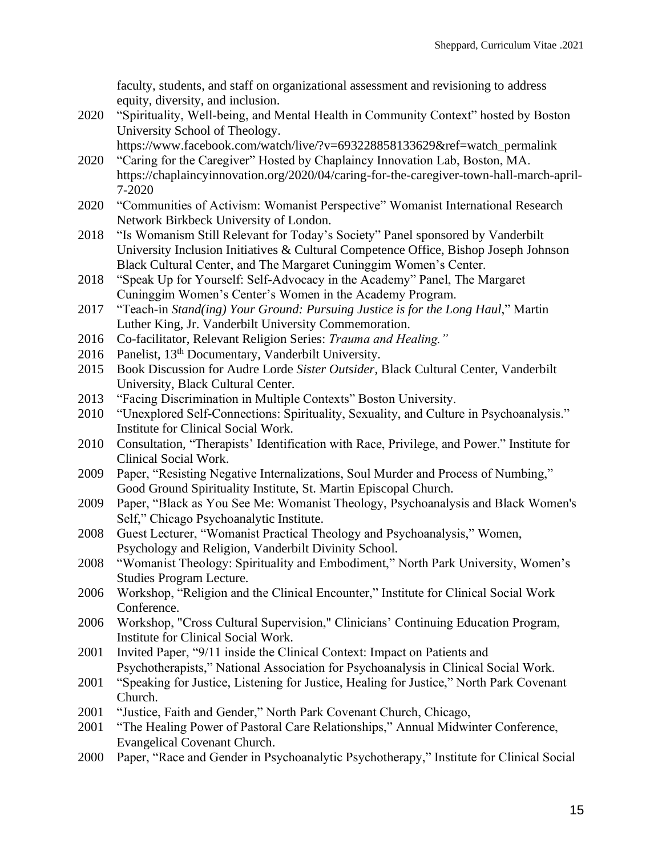faculty, students, and staff on organizational assessment and revisioning to address equity, diversity, and inclusion.

2020 "Spirituality, Well-being, and Mental Health in Community Context" hosted by Boston University School of Theology.

https://www.facebook.com/watch/live/?v=693228858133629&ref=watch\_permalink

- 2020 "Caring for the Caregiver" Hosted by Chaplaincy Innovation Lab, Boston, MA. https://chaplaincyinnovation.org/2020/04/caring-for-the-caregiver-town-hall-march-april-7-2020
- 2020 "Communities of Activism: Womanist Perspective" Womanist International Research Network Birkbeck University of London.
- 2018 "Is Womanism Still Relevant for Today's Society" Panel sponsored by Vanderbilt University Inclusion Initiatives & Cultural Competence Office, Bishop Joseph Johnson Black Cultural Center, and The Margaret Cuninggim Women's Center.
- 2018 "Speak Up for Yourself: Self-Advocacy in the Academy" Panel, The Margaret Cuninggim Women's Center's Women in the Academy Program.
- 2017 "Teach-in *Stand(ing) Your Ground: Pursuing Justice is for the Long Haul*," Martin Luther King, Jr. Vanderbilt University Commemoration.
- 2016 Co-facilitator, Relevant Religion Series: *Trauma and Healing."*
- 2016 Panelist, 13<sup>th</sup> Documentary, Vanderbilt University.
- 2015 Book Discussion for Audre Lorde *Sister Outsider*, Black Cultural Center, Vanderbilt University, Black Cultural Center.
- 2013 "Facing Discrimination in Multiple Contexts" Boston University.
- 2010 "Unexplored Self-Connections: Spirituality, Sexuality, and Culture in Psychoanalysis." Institute for Clinical Social Work.
- 2010 Consultation*,* "Therapists' Identification with Race, Privilege, and Power." Institute for Clinical Social Work.
- 2009 Paper, "Resisting Negative Internalizations, Soul Murder and Process of Numbing," Good Ground Spirituality Institute, St. Martin Episcopal Church.
- 2009 Paper, "Black as You See Me: Womanist Theology, Psychoanalysis and Black Women's Self," Chicago Psychoanalytic Institute.
- 2008 Guest Lecturer, "Womanist Practical Theology and Psychoanalysis," Women, Psychology and Religion, Vanderbilt Divinity School.
- 2008 "Womanist Theology: Spirituality and Embodiment," North Park University, Women's Studies Program Lecture.
- 2006 Workshop, "Religion and the Clinical Encounter," Institute for Clinical Social Work Conference.
- 2006 Workshop, "Cross Cultural Supervision," Clinicians' Continuing Education Program, Institute for Clinical Social Work.
- 2001 Invited Paper, "9/11 inside the Clinical Context: Impact on Patients and Psychotherapists," National Association for Psychoanalysis in Clinical Social Work.
- 2001 "Speaking for Justice, Listening for Justice, Healing for Justice," North Park Covenant Church.
- 2001 "Justice, Faith and Gender," North Park Covenant Church, Chicago,
- 2001 "The Healing Power of Pastoral Care Relationships," Annual Midwinter Conference, Evangelical Covenant Church.
- 2000 Paper, "Race and Gender in Psychoanalytic Psychotherapy," Institute for Clinical Social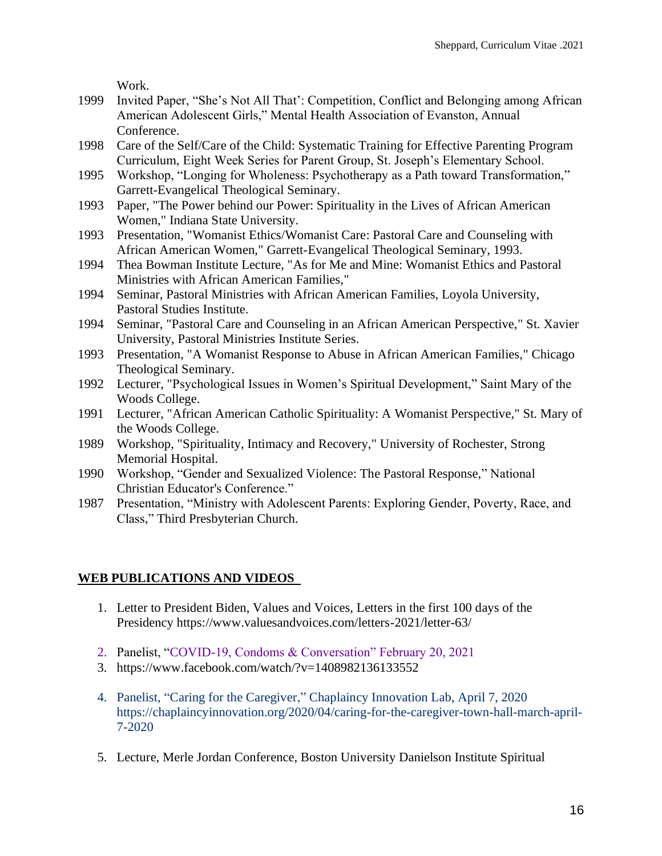Work.

- 1999 Invited Paper, "She's Not All That': Competition, Conflict and Belonging among African American Adolescent Girls," Mental Health Association of Evanston, Annual Conference.
- 1998 Care of the Self/Care of the Child: Systematic Training for Effective Parenting Program Curriculum, Eight Week Series for Parent Group, St. Joseph's Elementary School.
- 1995 Workshop, "Longing for Wholeness: Psychotherapy as a Path toward Transformation," Garrett-Evangelical Theological Seminary.
- 1993 Paper, "The Power behind our Power: Spirituality in the Lives of African American Women," Indiana State University.
- 1993 Presentation, "Womanist Ethics/Womanist Care: Pastoral Care and Counseling with African American Women," Garrett-Evangelical Theological Seminary, 1993.
- 1994 Thea Bowman Institute Lecture, "As for Me and Mine: Womanist Ethics and Pastoral Ministries with African American Families,"
- 1994 Seminar, Pastoral Ministries with African American Families, Loyola University, Pastoral Studies Institute.
- 1994 Seminar, "Pastoral Care and Counseling in an African American Perspective," St. Xavier University, Pastoral Ministries Institute Series.
- 1993 Presentation, "A Womanist Response to Abuse in African American Families," Chicago Theological Seminary.
- 1992 Lecturer, "Psychological Issues in Women's Spiritual Development," Saint Mary of the Woods College.
- 1991 Lecturer, "African American Catholic Spirituality: A Womanist Perspective," St. Mary of the Woods College.
- 1989 Workshop, "Spirituality, Intimacy and Recovery," University of Rochester, Strong Memorial Hospital.
- 1990 Workshop, "Gender and Sexualized Violence: The Pastoral Response," National Christian Educator's Conference."
- 1987 Presentation, "Ministry with Adolescent Parents: Exploring Gender, Poverty, Race, and Class," Third Presbyterian Church.

## **WEB PUBLICATIONS AND VIDEOS**

- 1. Letter to President Biden, Values and Voices, Letters in the first 100 days of the Presidency https://www.valuesandvoices.com/letters-2021/letter-63/
- 2. Panelist, "COVID-19, Condoms & Conversation" February 20, 2021
- 3. https://www.facebook.com/watch/?v=1408982136133552
- 4. Panelist, "Caring for the Caregiver," Chaplaincy Innovation Lab, April 7, 2020 https://chaplaincyinnovation.org/2020/04/caring-for-the-caregiver-town-hall-march-april-7-2020
- 5. Lecture, Merle Jordan Conference, Boston University Danielson Institute Spiritual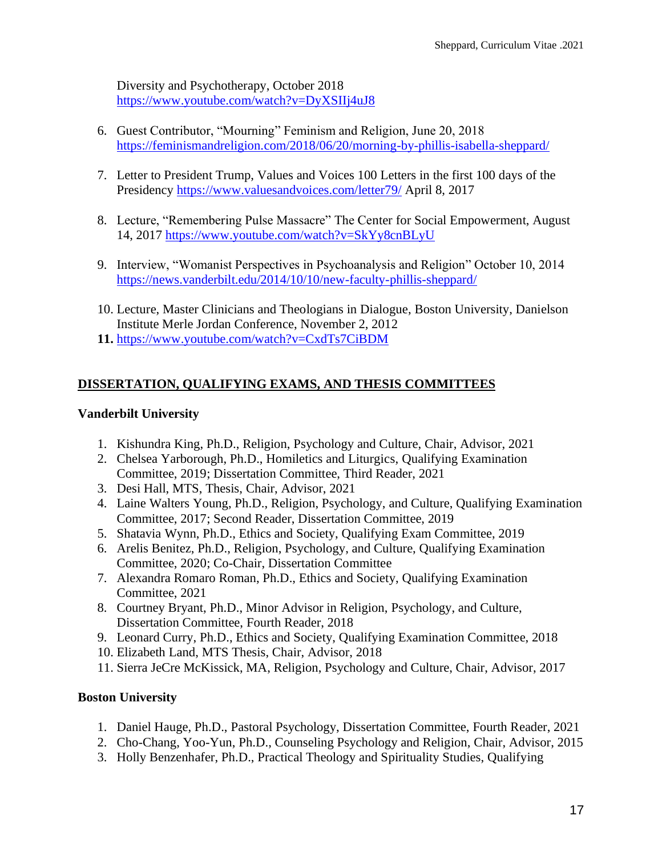Diversity and Psychotherapy, October 2018 <https://www.youtube.com/watch?v=DyXSIIj4uJ8>

- 6. Guest Contributor, "Mourning" Feminism and Religion, June 20, 2018 <https://feminismandreligion.com/2018/06/20/morning-by-phillis-isabella-sheppard/>
- 7. Letter to President Trump, Values and Voices 100 Letters in the first 100 days of the Presidency<https://www.valuesandvoices.com/letter79/> April 8, 2017
- 8. Lecture, "Remembering Pulse Massacre" The Center for Social Empowerment, August 14, 2017<https://www.youtube.com/watch?v=SkYy8cnBLyU>
- 9. Interview, "Womanist Perspectives in Psychoanalysis and Religion" October 10, 2014 <https://news.vanderbilt.edu/2014/10/10/new-faculty-phillis-sheppard/>
- 10. Lecture, Master Clinicians and Theologians in Dialogue, Boston University, Danielson Institute Merle Jordan Conference, November 2, 2012
- **11.** <https://www.youtube.com/watch?v=CxdTs7CiBDM>

### **DISSERTATION, QUALIFYING EXAMS, AND THESIS COMMITTEES**

### **Vanderbilt University**

- 1. Kishundra King, Ph.D., Religion, Psychology and Culture, Chair, Advisor, 2021
- 2. Chelsea Yarborough, Ph.D., Homiletics and Liturgics, Qualifying Examination Committee, 2019; Dissertation Committee, Third Reader, 2021
- 3. Desi Hall, MTS, Thesis, Chair, Advisor, 2021
- 4. Laine Walters Young, Ph.D., Religion, Psychology, and Culture, Qualifying Examination Committee, 2017; Second Reader, Dissertation Committee, 2019
- 5. Shatavia Wynn, Ph.D., Ethics and Society, Qualifying Exam Committee, 2019
- 6. Arelis Benitez, Ph.D., Religion, Psychology, and Culture, Qualifying Examination Committee, 2020; Co-Chair, Dissertation Committee
- 7. Alexandra Romaro Roman, Ph.D., Ethics and Society, Qualifying Examination Committee, 2021
- 8. Courtney Bryant, Ph.D., Minor Advisor in Religion, Psychology, and Culture, Dissertation Committee, Fourth Reader, 2018
- 9. Leonard Curry, Ph.D., Ethics and Society, Qualifying Examination Committee, 2018
- 10. Elizabeth Land, MTS Thesis, Chair, Advisor, 2018
- 11. Sierra JeCre McKissick, MA, Religion, Psychology and Culture, Chair, Advisor, 2017

### **Boston University**

- 1. Daniel Hauge, Ph.D., Pastoral Psychology, Dissertation Committee, Fourth Reader, 2021
- 2. Cho-Chang, Yoo-Yun, Ph.D., Counseling Psychology and Religion, Chair, Advisor, 2015
- 3. Holly Benzenhafer, Ph.D., Practical Theology and Spirituality Studies, Qualifying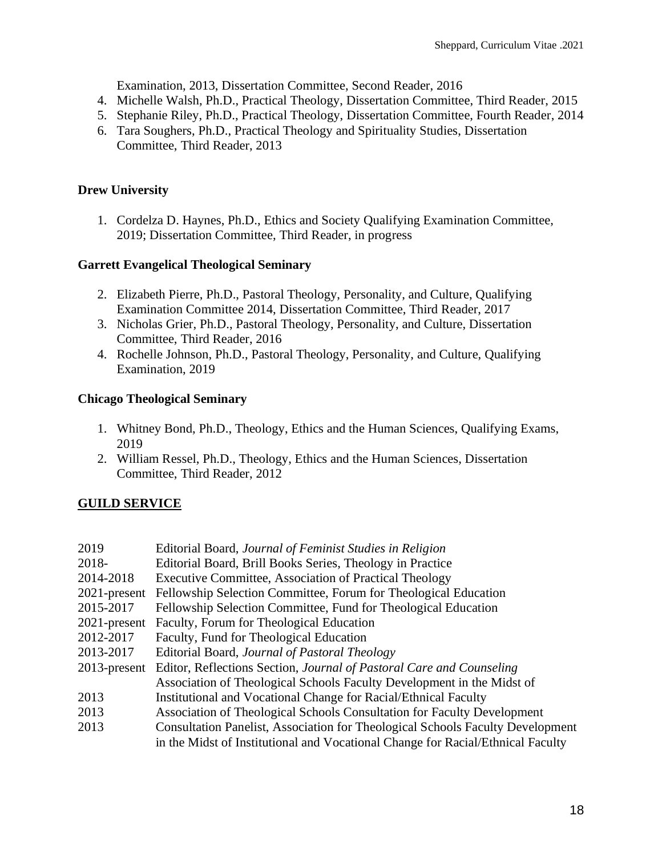Examination, 2013, Dissertation Committee, Second Reader, 2016

- 4. Michelle Walsh, Ph.D., Practical Theology, Dissertation Committee, Third Reader, 2015
- 5. Stephanie Riley, Ph.D., Practical Theology, Dissertation Committee, Fourth Reader, 2014
- 6. Tara Soughers, Ph.D., Practical Theology and Spirituality Studies, Dissertation Committee, Third Reader, 2013

### **Drew University**

1. Cordelza D. Haynes, Ph.D., Ethics and Society Qualifying Examination Committee, 2019; Dissertation Committee, Third Reader, in progress

### **Garrett Evangelical Theological Seminary**

- 2. Elizabeth Pierre, Ph.D., Pastoral Theology, Personality, and Culture, Qualifying Examination Committee 2014, Dissertation Committee, Third Reader, 2017
- 3. Nicholas Grier, Ph.D., Pastoral Theology, Personality, and Culture, Dissertation Committee, Third Reader, 2016
- 4. Rochelle Johnson, Ph.D., Pastoral Theology, Personality, and Culture, Qualifying Examination, 2019

### **Chicago Theological Seminary**

- 1. Whitney Bond, Ph.D., Theology, Ethics and the Human Sciences, Qualifying Exams, 2019
- 2. William Ressel, Ph.D., Theology, Ethics and the Human Sciences, Dissertation Committee, Third Reader, 2012

# **GUILD SERVICE**

| 2019            | Editorial Board, Journal of Feminist Studies in Religion                              |
|-----------------|---------------------------------------------------------------------------------------|
| 2018-           | Editorial Board, Brill Books Series, Theology in Practice                             |
| 2014-2018       | Executive Committee, Association of Practical Theology                                |
| $2021$ -present | Fellowship Selection Committee, Forum for Theological Education                       |
| 2015-2017       | Fellowship Selection Committee, Fund for Theological Education                        |
| $2021$ -present | Faculty, Forum for Theological Education                                              |
| 2012-2017       | Faculty, Fund for Theological Education                                               |
| 2013-2017       | Editorial Board, Journal of Pastoral Theology                                         |
| $2013$ -present | Editor, Reflections Section, Journal of Pastoral Care and Counseling                  |
|                 | Association of Theological Schools Faculty Development in the Midst of                |
| 2013            | Institutional and Vocational Change for Racial/Ethnical Faculty                       |
| 2013            | Association of Theological Schools Consultation for Faculty Development               |
| 2013            | <b>Consultation Panelist, Association for Theological Schools Faculty Development</b> |
|                 | in the Midst of Institutional and Vocational Change for Racial/Ethnical Faculty       |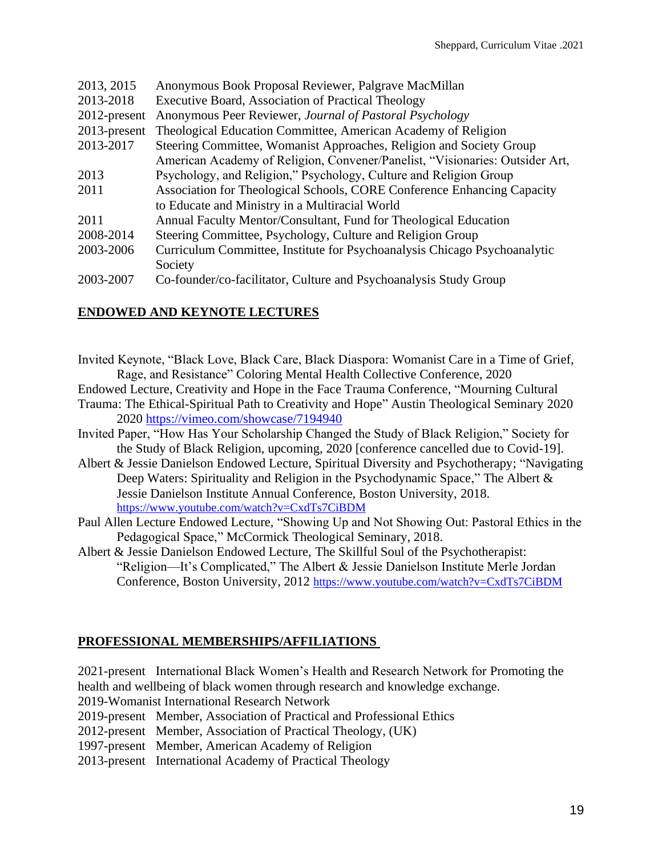| 2013, 2015      | Anonymous Book Proposal Reviewer, Palgrave MacMillan                         |
|-----------------|------------------------------------------------------------------------------|
| 2013-2018       | Executive Board, Association of Practical Theology                           |
| $2012$ -present | Anonymous Peer Reviewer, Journal of Pastoral Psychology                      |
| 2013-present    | Theological Education Committee, American Academy of Religion                |
| 2013-2017       | Steering Committee, Womanist Approaches, Religion and Society Group          |
|                 | American Academy of Religion, Convener/Panelist, "Visionaries: Outsider Art, |
| 2013            | Psychology, and Religion," Psychology, Culture and Religion Group            |
| 2011            | Association for Theological Schools, CORE Conference Enhancing Capacity      |
|                 | to Educate and Ministry in a Multiracial World                               |
| 2011            | Annual Faculty Mentor/Consultant, Fund for Theological Education             |
| 2008-2014       | Steering Committee, Psychology, Culture and Religion Group                   |
| 2003-2006       | Curriculum Committee, Institute for Psychoanalysis Chicago Psychoanalytic    |
|                 | Society                                                                      |
| 2003-2007       | Co-founder/co-facilitator, Culture and Psychoanalysis Study Group            |

### **ENDOWED AND KEYNOTE LECTURES**

Invited Keynote, "Black Love, Black Care, Black Diaspora: Womanist Care in a Time of Grief, Rage, and Resistance" Coloring Mental Health Collective Conference, 2020 Endowed Lecture, Creativity and Hope in the Face Trauma Conference, "Mourning Cultural Trauma: The Ethical-Spiritual Path to Creativity and Hope" Austin Theological Seminary 2020 2020 <https://vimeo.com/showcase/7194940> Invited Paper, "How Has Your Scholarship Changed the Study of Black Religion," Society for the Study of Black Religion, upcoming, 2020 [conference cancelled due to Covid-19]. Albert & Jessie Danielson Endowed Lecture, Spiritual Diversity and Psychotherapy; "Navigating Deep Waters: Spirituality and Religion in the Psychodynamic Space," The Albert & Jessie Danielson Institute Annual Conference, Boston University, 2018. <https://www.youtube.com/watch?v=CxdTs7CiBDM>

Paul Allen Lecture Endowed Lecture, "Showing Up and Not Showing Out: Pastoral Ethics in the Pedagogical Space," McCormick Theological Seminary, 2018.

Albert & Jessie Danielson Endowed Lecture, The Skillful Soul of the Psychotherapist: "Religion—It's Complicated," The Albert & Jessie Danielson Institute Merle Jordan Conference, Boston University, 2012 <https://www.youtube.com/watch?v=CxdTs7CiBDM>

### **PROFESSIONAL MEMBERSHIPS/AFFILIATIONS**

2021-present International Black Women's Health and Research Network for Promoting the health and wellbeing of black women through research and knowledge exchange.

2019-Womanist International Research Network

2019-present Member, Association of Practical and Professional Ethics

2012-present Member, Association of Practical Theology, (UK)

1997-present Member, American Academy of Religion

2013-present International Academy of Practical Theology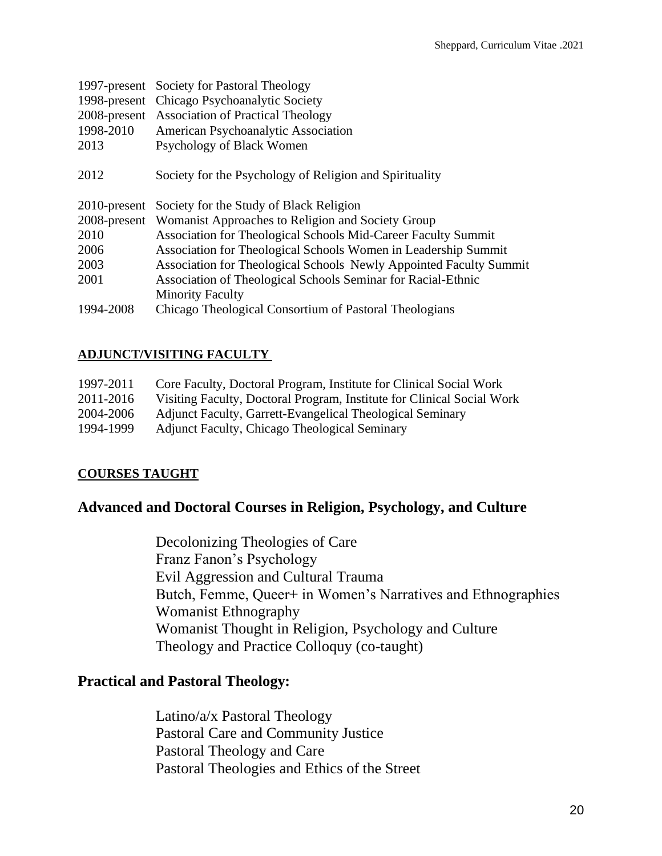|              | 1997-present Society for Pastoral Theology                         |
|--------------|--------------------------------------------------------------------|
|              | 1998-present Chicago Psychoanalytic Society                        |
|              | 2008-present Association of Practical Theology                     |
| 1998-2010    | American Psychoanalytic Association                                |
| 2013         | Psychology of Black Women                                          |
| 2012         | Society for the Psychology of Religion and Spirituality            |
| 2010-present | Society for the Study of Black Religion                            |
|              |                                                                    |
|              | 2008-present Womanist Approaches to Religion and Society Group     |
| 2010         | Association for Theological Schools Mid-Career Faculty Summit      |
| 2006         | Association for Theological Schools Women in Leadership Summit     |
| 2003         | Association for Theological Schools Newly Appointed Faculty Summit |
| 2001         | Association of Theological Schools Seminar for Racial-Ethnic       |
|              | <b>Minority Faculty</b>                                            |
| 1994-2008    | Chicago Theological Consortium of Pastoral Theologians             |

### **ADJUNCT/VISITING FACULTY**

| 1997-2011 | Core Faculty, Doctoral Program, Institute for Clinical Social Work     |
|-----------|------------------------------------------------------------------------|
| 2011-2016 | Visiting Faculty, Doctoral Program, Institute for Clinical Social Work |
| 2004-2006 | Adjunct Faculty, Garrett-Evangelical Theological Seminary              |
| 1994-1999 | <b>Adjunct Faculty, Chicago Theological Seminary</b>                   |

## **COURSES TAUGHT**

# **Advanced and Doctoral Courses in Religion, Psychology, and Culture**

Decolonizing Theologies of Care Franz Fanon's Psychology Evil Aggression and Cultural Trauma Butch, Femme, Queer+ in Women's Narratives and Ethnographies Womanist Ethnography Womanist Thought in Religion, Psychology and Culture Theology and Practice Colloquy (co-taught)

## **Practical and Pastoral Theology:**

Latino/a/x Pastoral Theology Pastoral Care and Community Justice Pastoral Theology and Care Pastoral Theologies and Ethics of the Street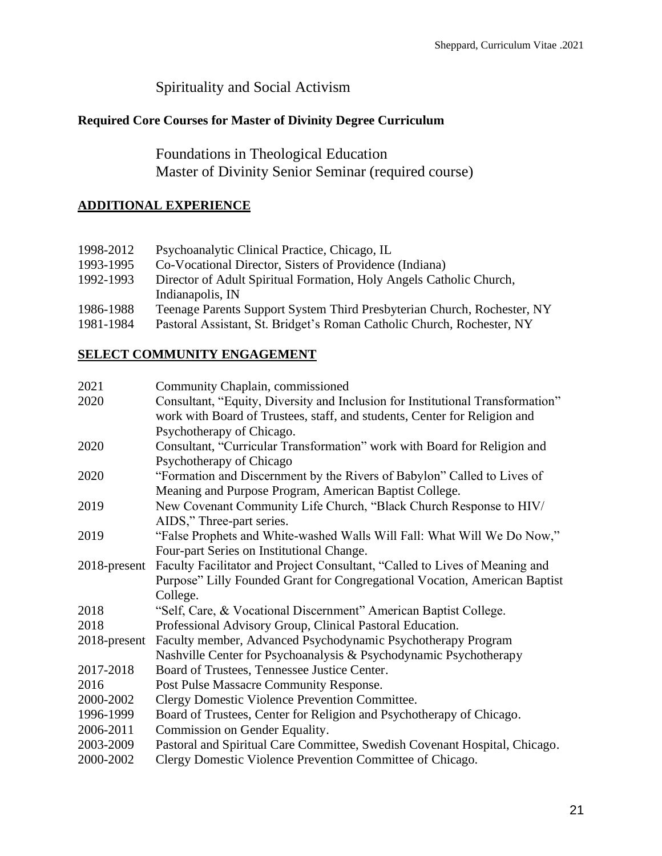# Spirituality and Social Activism

## **Required Core Courses for Master of Divinity Degree Curriculum**

Foundations in Theological Education Master of Divinity Senior Seminar (required course)

## **ADDITIONAL EXPERIENCE**

| Teenage Parents Support System Third Presbyterian Church, Rochester, NY |
|-------------------------------------------------------------------------|
|                                                                         |
| Pastoral Assistant, St. Bridget's Roman Catholic Church, Rochester, NY  |

### **SELECT COMMUNITY ENGAGEMENT**

| Community Chaplain, commissioned                                               |
|--------------------------------------------------------------------------------|
| Consultant, "Equity, Diversity and Inclusion for Institutional Transformation" |
| work with Board of Trustees, staff, and students, Center for Religion and      |
| Psychotherapy of Chicago.                                                      |
| Consultant, "Curricular Transformation" work with Board for Religion and       |
| Psychotherapy of Chicago                                                       |
| "Formation and Discernment by the Rivers of Babylon" Called to Lives of        |
| Meaning and Purpose Program, American Baptist College.                         |
| New Covenant Community Life Church, "Black Church Response to HIV/             |
| AIDS," Three-part series.                                                      |
| "False Prophets and White-washed Walls Will Fall: What Will We Do Now,"        |
| Four-part Series on Institutional Change.                                      |
| Faculty Facilitator and Project Consultant, "Called to Lives of Meaning and    |
| Purpose" Lilly Founded Grant for Congregational Vocation, American Baptist     |
| College.                                                                       |
| "Self, Care, & Vocational Discernment" American Baptist College.               |
| Professional Advisory Group, Clinical Pastoral Education.                      |
| Faculty member, Advanced Psychodynamic Psychotherapy Program                   |
| Nashville Center for Psychoanalysis & Psychodynamic Psychotherapy              |
| Board of Trustees, Tennessee Justice Center.                                   |
| Post Pulse Massacre Community Response.                                        |
| Clergy Domestic Violence Prevention Committee.                                 |
| Board of Trustees, Center for Religion and Psychotherapy of Chicago.           |
| Commission on Gender Equality.                                                 |
| Pastoral and Spiritual Care Committee, Swedish Covenant Hospital, Chicago.     |
| Clergy Domestic Violence Prevention Committee of Chicago.                      |
|                                                                                |